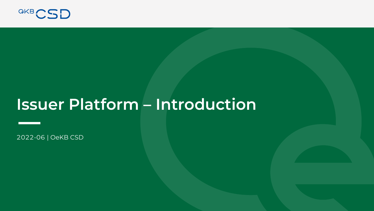

# **Issuer Platform – Introduction**

2022-06 | OeKB CSD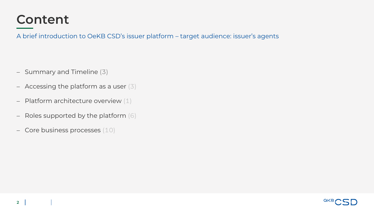### **Content**

A brief introduction to OeKB CSD's issuer platform – target audience: issuer's agents

- − Summary and Timeline (3)
- − Accessing the platform as a user (3)
- − Platform architecture overview (1)
- − Roles supported by the platform (6)
- − Core business processes (10)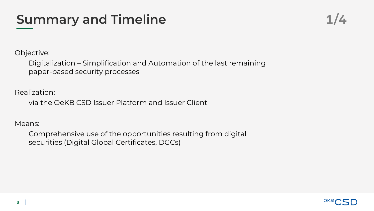## **Summary and Timeline**

Objective:

Digitalization – Simplification and Automation of the last remaining paper-based security processes

Realization:

via the OeKB CSD Issuer Platform and Issuer Client

Means:

Comprehensive use of the opportunities resulting from digital securities (Digital Global Certificates, DGCs)

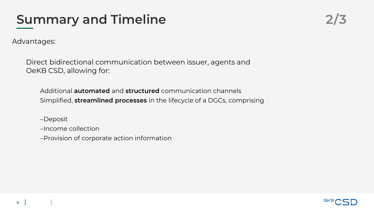## **Summary and Timeline 2/3**

Advantages:

Direct bidirectional communication between issuer, agents and OeKB CSD, allowing for:

Additional **automated** and **structured** communication channels Simplified, **streamlined processes** in the lifecycle of a DGCs, comprising

−Deposit

−Income collection

−Provision of corporate action information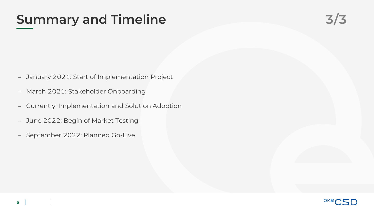### Summary and Timeline **3/3**

- − January 2021: Start of Implementation Project
- − March 2021: Stakeholder Onboarding
- − Currently: Implementation and Solution Adoption
- − June 2022: Begin of Market Testing
- − September 2022: Planned Go-Live

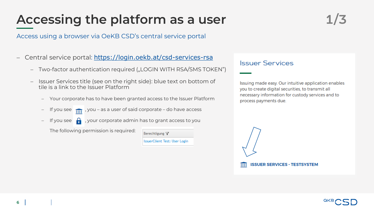## Accessing the platform as a user 1/3

Access using a browser via OeKB CSD's central service portal

- − Central service portal: <https://login.oekb.at/csd-services-rsa>
	- Two-factor authentication required ("LOGIN WITH RSA/SMS TOKEN")
	- Issuer Services title (see on the right side): blue text on bottom of tile is a link to the Issuer Platform
		- − Your corporate has to have been granted access to the Issuer Platform
		- − If you see , you as a user of said corporate do have access
			- **Figual**, your corporate admin has to grant access to you

The following permission is required:

Berechtigung Y IssuerClient Test: User Login

### **Issuer Services**

Issuing made easy. Our intuitive application enables you to create digital securities, to transmit all necessary information for custody services and to process payments due.

**ISSUER SERVICES - TESTSYSTEM**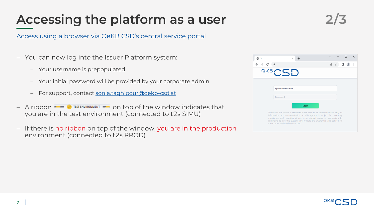## **Accessing the platform as a user 2/3**

Access using a browser via OeKB CSD's central service portal

- − You can now log into the Issuer Platform system:
	- − Your username is prepopulated
	- − Your initial password will be provided by your corporate admin
	- − For support, contact [sonja.taghipour@oekb-csd.at](mailto:sonja.taghipour@oekb-csd.at)
- − A ribbon  $\blacksquare$   $\blacksquare$  TEST ENVIRONMENT  $\blacksquare$  on top of the window indicates that you are in the test environment (connected to t2s SIMU)
- − If there is no ribbon on top of the window, you are in the production environment (connected to t2s PROD)

| -3i                |                                    | $\times$ |       |                                                                                                                                                                                                                                                                                                                   | $\checkmark$         | п | $\times$ |
|--------------------|------------------------------------|----------|-------|-------------------------------------------------------------------------------------------------------------------------------------------------------------------------------------------------------------------------------------------------------------------------------------------------------------------|----------------------|---|----------|
| $\rightarrow$ C in |                                    |          |       |                                                                                                                                                                                                                                                                                                                   | $\overrightarrow{P}$ |   |          |
|                    | <b>GKBCSD</b>                      |          |       |                                                                                                                                                                                                                                                                                                                   |                      |   |          |
|                    | <your-username></your-username>    |          |       |                                                                                                                                                                                                                                                                                                                   |                      |   |          |
|                    | Password                           |          |       |                                                                                                                                                                                                                                                                                                                   |                      |   |          |
|                    |                                    |          | Login |                                                                                                                                                                                                                                                                                                                   |                      |   |          |
|                    | these terms and conditions to use. |          |       | The use of this system is restricted to the conduct of authorized users only. All<br>information and communication on this system is subject for reviewing,<br>monitoring and recording at any time, without notice or permission. By<br>continuing to use this system, you indicate the awareness and consent to |                      |   |          |

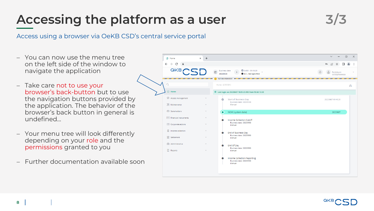## Accessing the platform as a user Theory 3/3

### Access using a browser via OeKB CSD's central service portal

− You can now use the menu tree  $\vee$  $\sim$  $\Box$  $\mathsf{X}$ 动 Home  $\times$  + on the left side of the window to  $\leftarrow$   $\rightarrow$  C a п.  $\mathbf{R}$ navigate the application QKB. **Business date** SoBD - 09:48:20 Participant 20220530 **OCSDATWWXXX** − Take care not to use your Home (STRT001) ఆ browser's back-button but to use Home 10 Last login on 20220607 10:25:23.905 from 92.60.12.20 the navigation buttons provided by **M** Access management **Start of Business Day** 20220607-09:48:20  $\bullet$ Business date: 20220530 the application. The behavior of the & Maintenance Manual browser's back button in general is 있<sup>이</sup> Stakeholders NOW (system date) 20220607 undefined…  $\sqrt{3\pi}$  Financial instruments Income Collection Cutoff Business date: 20220530 **E** Corporate actions Manual **Q** Income collection − Your menu tree will look differently End of Business Day Business date: 20220530 **ff** Settlement Manual depending on your role and the Administrative End Of Day permissions granted to you Business date: 20220530 **A** Reports Manual **Income Collection Reporting** − Further documentation available soon Business date: 20220530 Manual

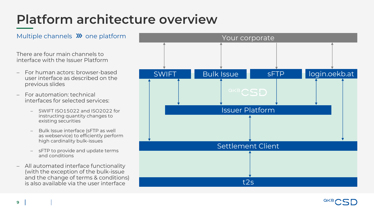# **Platform architecture overview**

There are four main channels to interface with the Issuer Platform

- − For human actors: browser-based user interface as described on the previous slides
- − For automation: technical interfaces for selected services:
	- − SWIFT ISO15022 and ISO2022 for instructing quantity changes to existing securities
	- Bulk Issue interface (sFTP as well as webservice) to efficiently perform high cardinality bulk-issues
	- − sFTP to provide and update terms and conditions
- − All automated interface functionality (with the exception of the bulk-issue and the change of terms & conditions) is also available via the user interface



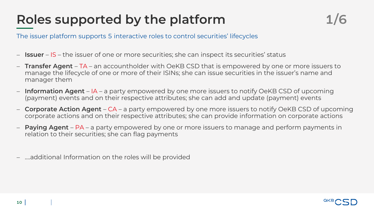# **Roles supported by the platform 1/6**

The issuer platform supports 5 interactive roles to control securities' lifecycles

- − **Issuer** IS the issuer of one or more securities; she can inspect its securities' status
- − **Transfer Agent**  TA an accountholder with OeKB CSD that is empowered by one or more issuers to manage the lifecycle of one or more of their ISINs; she can issue securities in the issuer's name and manager them
- − **Information Agent** IA a party empowered by one more issuers to notify OeKB CSD of upcoming (payment) events and on their respective attributes; she can add and update (payment) events
- − **Corporate Action Agent** CA a party empowered by one more issuers to notify OeKB CSD of upcoming corporate actions and on their respective attributes; she can provide information on corporate actions
- − **Paying Agent** PA a party empowered by one or more issuers to manage and perform payments in relation to their securities; she can flag payments
- − ….additional Information on the roles will be provided

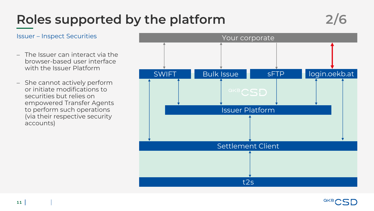# **Roles supported by the platform 2/6**

- − The Issuer can interact via the browser-based user interface with the Issuer Platform
- − She cannot actively perform or initiate modifications to securities but relies on empowered Transfer Agents to perform such operations (via their respective security accounts)



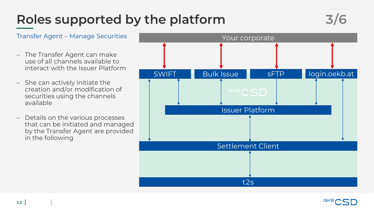# **Roles supported by the platform 3/6**

- − The Transfer Agent can make use of all channels available to interact with the Issuer Platform
- − She can actively initiate the creation and/or modification of securities using the channels available
- − Details on the various processes that can be initiated and managed by the Transfer Agent are provided in the following



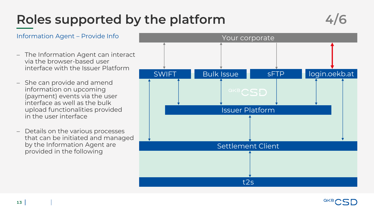# Roles supported by the platform

$$
4/6
$$

- − The Information Agent can interact via the browser-based user interface with the Issuer Platform
- − She can provide and amend information on upcoming (payment) events via the user interface as well as the bulk upload functionalities provided in the user interface
- − Details on the various processes that can be initiated and managed by the Information Agent are provided in the following



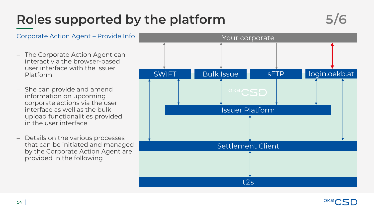# **Roles supported by the platform 5/6**



Platform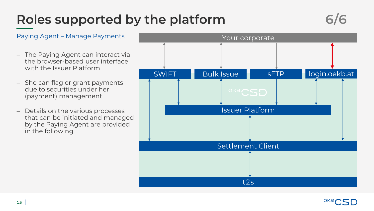# **Roles supported by the platform 6/6**



- − The Paying Agent can interact via the browser-based user interface with the Issuer Platform
- − She can flag or grant payments due to securities under her (payment) management
- − Details on the various processes that can be initiated and managed by the Paying Agent are provided in the following

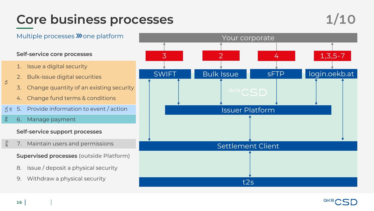### Core business processes and the set of  $1/10$

### **Self-service core processes**

- 1. Issue a digital security
- 2. Bulk-issue digital securities
- 3. Change quantity of an existing security
- 4. Change fund terms & conditions
- $\overline{S} \leq$ 5. Provide information to event / action
- $\mathbb{A}$ 6. Manage payment

### **Self-service support processes**

any PA CA, λυ 7. Maintain users and permissions

### **Supervised processes (outside Platform)**

- 8. Issue / deposit a physical security
- 9. Withdraw a physical security



t2s



 $\preceq$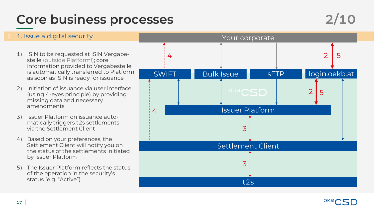### Core business processes 2/10

### 1) ISIN to be requested at ISIN Vergabestelle (outside Platform!); core information provided to Vergabestelle is automatically transferred to Platform as soon as ISIN is ready for issuance 2) Initiation of issuance via user interface (using 4-eyes principle) by providing missing data and necessary amendments 3) Issuer Platform on issuance automatically triggers t2s settlements via the Settlement Client 4) Based on your preferences, the Settlement Client will notify you on the status of the settlements initiated by Issuer Platform 5) The Issuer Platform reflects the status of the operation in the security's status (e.g. "Active") 1. Issue a digital security Your corporate SWIFT Bulk Issue sFTP login.oekb.at Issuer Platform Settlement Client t2s 2 3 3 4 4 2 5 5

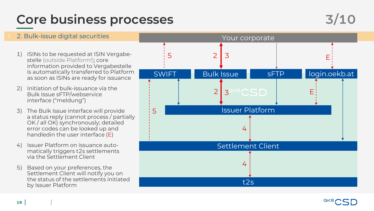### Core business processes 3/10



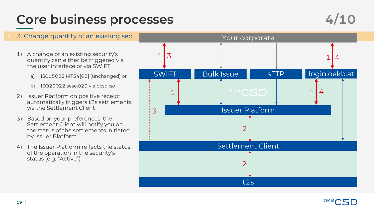### Core business processes 4/10



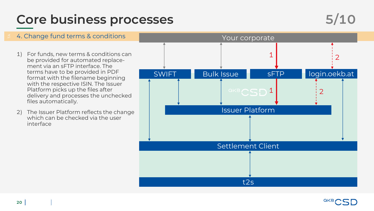### Core business processes 5/10



### 1) For funds, new terms & conditions can be provided for automated replacement via an sFTP interface. The terms have to be provided in PDF format with the filename beginning with the respective ISIN. The Issuer Platform picks up the files after delivery and processes the unchecked files automatically. 2) The Issuer Platform reflects the change which can be checked via the user interface 4. Change fund terms & conditions The Constitution of the Your corporate SWIFT Bulk Issue SFTP login.oekb.at Issuer Platform Settlement Client t2s 1 2 2  $448CSD1$

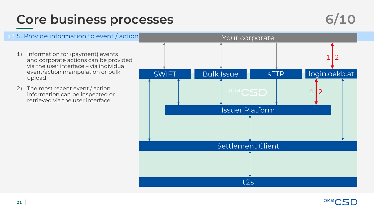### Core business processes 6/10



### $\beta$  5. Provide information to event / action  $\qquad \qquad \qquad \text{Your corporate}$ 1) Information for (payment) events and corporate actions can be provided via the user interface – via individual event/action manipulation or bulk upload 2) The most recent event / action information can be inspected or retrieved via the user interface SWIFT Bulk Issue sFTP login.oekb.at Issuer Platform Settlement Client t2s  $1$ |2  $1$ |2

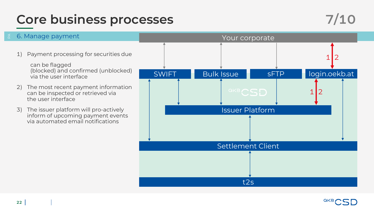### Core business processes 7/10



### 1) Payment processing for securities due can be flagged (blocked) and confirmed (unblocked) via the user interface 2) The most recent payment information can be inspected or retrieved via the user interface 3) The issuer platform will pro-actively inform of upcoming payment events via automated email notifications 6. Manage payment Nour Communication of the Vour corporate SWIFT Bulk Issue sFTP login.oekb.at Issuer Platform Settlement Client t2s  $1$ |2  $1$ |2

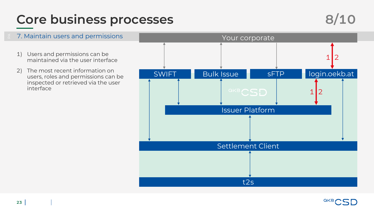## Core business processes 8/10



### 1) Users and permissions can be maintained via the user interface 2) The most recent information on users, roles and permissions can be inspected or retrieved via the user interface 7. Maintain users and permissions The Contract of the Your corporate SWIFT Bulk Issue sFTP login.oekb.at Issuer Platform Settlement Client t2s  $1$ |2  $1$ |2

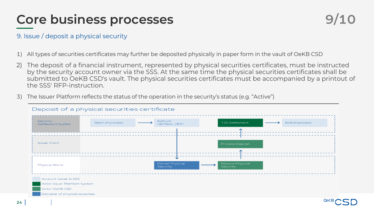### **Core business processes**

### 9. Issue / deposit a physical security

- 1) All types of securities certificates may further be deposited physically in paper form in the vault of OeKB CSD
- 2) The deposit of a financial instrument, represented by physical securities certificates, must be instructed by the security account owner via the SSS. At the same time the physical securities certificates shall be submitted to OeKB CSD's vault. The physical securities certificates must be accompanied by a printout of the SSS' RFP-instruction.
- 3) The Issuer Platform reflects the status of the operation in the security's status (e.g. "Active")